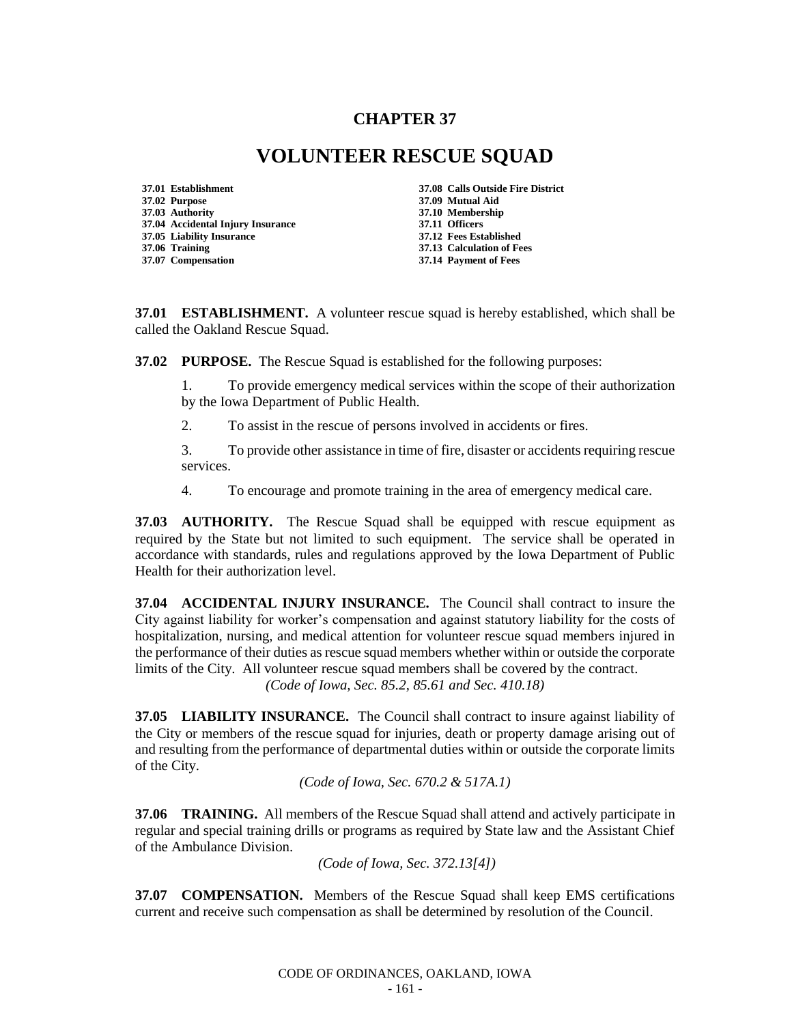## **CHAPTER 37**

## **VOLUNTEER RESCUE SQUAD**

**37.01 Establishment 37.08 Calls Outside Fire District 37.02 Purpose 37.09 Mutual Aid 37.04 Accidental Injury Insurance 37.11 Officers 37.05 Liability Insurance 37.06 Training 37.13 Calculation of Fees 37.07 Compensation 37.14 Payment of Fees**

**37.03 Authority 37.10 Membership**

**37.01 ESTABLISHMENT.** A volunteer rescue squad is hereby established, which shall be called the Oakland Rescue Squad.

**37.02 PURPOSE.** The Rescue Squad is established for the following purposes:

1. To provide emergency medical services within the scope of their authorization by the Iowa Department of Public Health.

2. To assist in the rescue of persons involved in accidents or fires.

3. To provide other assistance in time of fire, disaster or accidents requiring rescue services.

4. To encourage and promote training in the area of emergency medical care.

**37.03 AUTHORITY.** The Rescue Squad shall be equipped with rescue equipment as required by the State but not limited to such equipment. The service shall be operated in accordance with standards, rules and regulations approved by the Iowa Department of Public Health for their authorization level.

**37.04 ACCIDENTAL INJURY INSURANCE.** The Council shall contract to insure the City against liability for worker's compensation and against statutory liability for the costs of hospitalization, nursing, and medical attention for volunteer rescue squad members injured in the performance of their duties as rescue squad members whether within or outside the corporate limits of the City. All volunteer rescue squad members shall be covered by the contract. *(Code of Iowa, Sec. 85.2, 85.61 and Sec. 410.18)*

**37.05 LIABILITY INSURANCE.** The Council shall contract to insure against liability of the City or members of the rescue squad for injuries, death or property damage arising out of and resulting from the performance of departmental duties within or outside the corporate limits of the City.

*(Code of Iowa, Sec. 670.2 & 517A.1)*

**37.06 TRAINING.** All members of the Rescue Squad shall attend and actively participate in regular and special training drills or programs as required by State law and the Assistant Chief of the Ambulance Division.

*(Code of Iowa, Sec. 372.13[4])*

**37.07 COMPENSATION.** Members of the Rescue Squad shall keep EMS certifications current and receive such compensation as shall be determined by resolution of the Council.